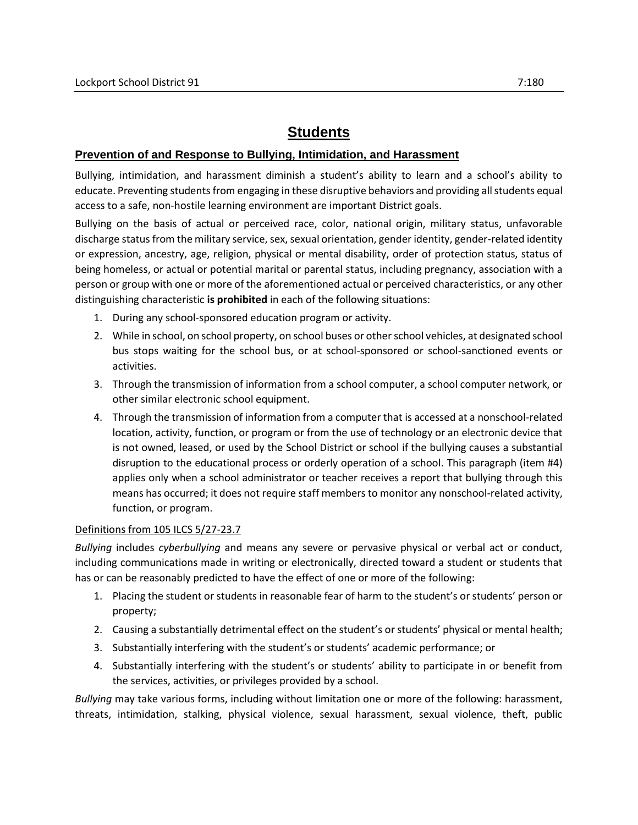# **Students**

## **Prevention of and Response to Bullying, Intimidation, and Harassment**

Bullying, intimidation, and harassment diminish a student's ability to learn and a school's ability to educate. Preventing students from engaging in these disruptive behaviors and providing all students equal access to a safe, non-hostile learning environment are important District goals.

Bullying on the basis of actual or perceived race, color, national origin, military status, unfavorable discharge status from the military service, sex, sexual orientation, gender identity, gender-related identity or expression, ancestry, age, religion, physical or mental disability, order of protection status, status of being homeless, or actual or potential marital or parental status, including pregnancy, association with a person or group with one or more of the aforementioned actual or perceived characteristics, or any other distinguishing characteristic **is prohibited** in each of the following situations:

- 1. During any school-sponsored education program or activity.
- 2. While in school, on school property, on school buses or other school vehicles, at designated school bus stops waiting for the school bus, or at school-sponsored or school-sanctioned events or activities.
- 3. Through the transmission of information from a school computer, a school computer network, or other similar electronic school equipment.
- 4. Through the transmission of information from a computer that is accessed at a nonschool-related location, activity, function, or program or from the use of technology or an electronic device that is not owned, leased, or used by the School District or school if the bullying causes a substantial disruption to the educational process or orderly operation of a school. This paragraph (item #4) applies only when a school administrator or teacher receives a report that bullying through this means has occurred; it does not require staff members to monitor any nonschool-related activity, function, or program.

## Definitions from 105 ILCS 5/27-23.7

*Bullying* includes *cyberbullying* and means any severe or pervasive physical or verbal act or conduct, including communications made in writing or electronically, directed toward a student or students that has or can be reasonably predicted to have the effect of one or more of the following:

- 1. Placing the student or students in reasonable fear of harm to the student's or students' person or property;
- 2. Causing a substantially detrimental effect on the student's or students' physical or mental health;
- 3. Substantially interfering with the student's or students' academic performance; or
- 4. Substantially interfering with the student's or students' ability to participate in or benefit from the services, activities, or privileges provided by a school.

*Bullying* may take various forms, including without limitation one or more of the following: harassment, threats, intimidation, stalking, physical violence, sexual harassment, sexual violence, theft, public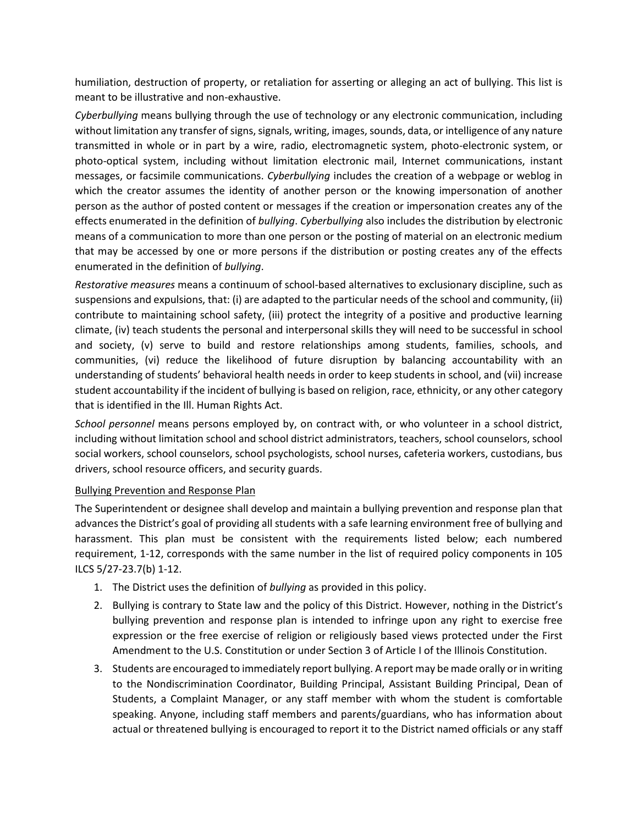humiliation, destruction of property, or retaliation for asserting or alleging an act of bullying. This list is meant to be illustrative and non-exhaustive.

*Cyberbullying* means bullying through the use of technology or any electronic communication, including without limitation any transfer of signs, signals, writing, images, sounds, data, or intelligence of any nature transmitted in whole or in part by a wire, radio, electromagnetic system, photo-electronic system, or photo-optical system, including without limitation electronic mail, Internet communications, instant messages, or facsimile communications. *Cyberbullying* includes the creation of a webpage or weblog in which the creator assumes the identity of another person or the knowing impersonation of another person as the author of posted content or messages if the creation or impersonation creates any of the effects enumerated in the definition of *bullying*. *Cyberbullying* also includes the distribution by electronic means of a communication to more than one person or the posting of material on an electronic medium that may be accessed by one or more persons if the distribution or posting creates any of the effects enumerated in the definition of *bullying*.

*Restorative measures* means a continuum of school-based alternatives to exclusionary discipline, such as suspensions and expulsions, that: (i) are adapted to the particular needs of the school and community, (ii) contribute to maintaining school safety, (iii) protect the integrity of a positive and productive learning climate, (iv) teach students the personal and interpersonal skills they will need to be successful in school and society, (v) serve to build and restore relationships among students, families, schools, and communities, (vi) reduce the likelihood of future disruption by balancing accountability with an understanding of students' behavioral health needs in order to keep students in school, and (vii) increase student accountability if the incident of bullying is based on religion, race, ethnicity, or any other category that is identified in the Ill. Human Rights Act.

*School personnel* means persons employed by, on contract with, or who volunteer in a school district, including without limitation school and school district administrators, teachers, school counselors, school social workers, school counselors, school psychologists, school nurses, cafeteria workers, custodians, bus drivers, school resource officers, and security guards.

## Bullying Prevention and Response Plan

The Superintendent or designee shall develop and maintain a bullying prevention and response plan that advances the District's goal of providing all students with a safe learning environment free of bullying and harassment. This plan must be consistent with the requirements listed below; each numbered requirement, 1-12, corresponds with the same number in the list of required policy components in 105 ILCS 5/27-23.7(b) 1-12.

- 1. The District uses the definition of *bullying* as provided in this policy.
- 2. Bullying is contrary to State law and the policy of this District. However, nothing in the District's bullying prevention and response plan is intended to infringe upon any right to exercise free expression or the free exercise of religion or religiously based views protected under the First Amendment to the U.S. Constitution or under Section 3 of Article I of the Illinois Constitution.
- 3. Students are encouraged to immediately report bullying. A report may be made orally or in writing to the Nondiscrimination Coordinator, Building Principal, Assistant Building Principal, Dean of Students, a Complaint Manager, or any staff member with whom the student is comfortable speaking. Anyone, including staff members and parents/guardians, who has information about actual or threatened bullying is encouraged to report it to the District named officials or any staff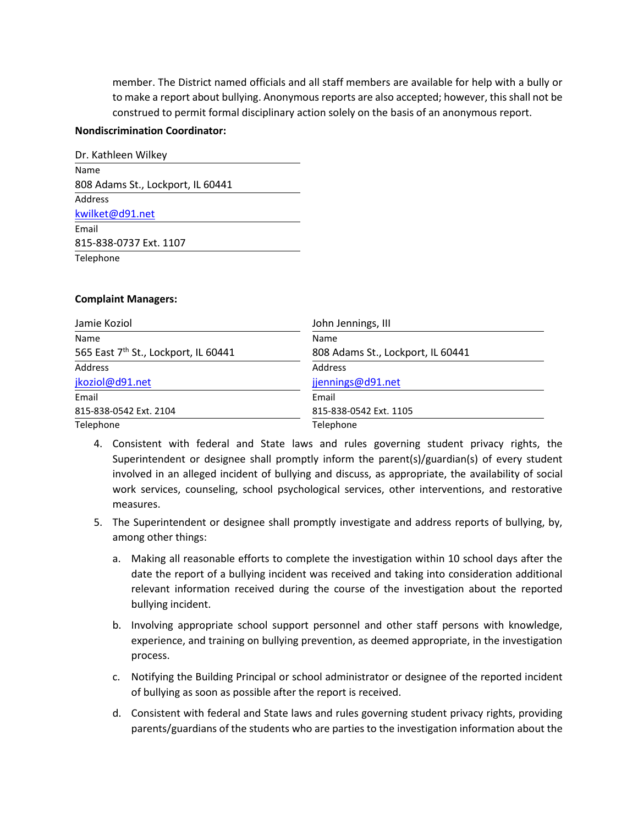member. The District named officials and all staff members are available for help with a bully or to make a report about bullying. Anonymous reports are also accepted; however, this shall not be construed to permit formal disciplinary action solely on the basis of an anonymous report.

#### **Nondiscrimination Coordinator:**

| Dr. Kathleen Wilkey               |
|-----------------------------------|
| Name                              |
| 808 Adams St., Lockport, IL 60441 |
| Address                           |
| kwilket@d91.net                   |
| Email                             |
| 815-838-0737 Ext. 1107            |
| Telephone                         |

#### **Complaint Managers:**

| Jamie Koziol                         | John Jennings, III                |
|--------------------------------------|-----------------------------------|
| Name                                 | Name                              |
| 565 East 7th St., Lockport, IL 60441 | 808 Adams St., Lockport, IL 60441 |
| Address                              | Address                           |
| jkoziol@d91.net                      | jjennings@d91.net                 |
| Email                                | Email                             |
| 815-838-0542 Ext. 2104               | 815-838-0542 Ext. 1105            |
| Telephone                            | Telephone                         |

- 4. Consistent with federal and State laws and rules governing student privacy rights, the Superintendent or designee shall promptly inform the parent(s)/guardian(s) of every student involved in an alleged incident of bullying and discuss, as appropriate, the availability of social work services, counseling, school psychological services, other interventions, and restorative measures.
- 5. The Superintendent or designee shall promptly investigate and address reports of bullying, by, among other things:
	- a. Making all reasonable efforts to complete the investigation within 10 school days after the date the report of a bullying incident was received and taking into consideration additional relevant information received during the course of the investigation about the reported bullying incident.
	- b. Involving appropriate school support personnel and other staff persons with knowledge, experience, and training on bullying prevention, as deemed appropriate, in the investigation process.
	- c. Notifying the Building Principal or school administrator or designee of the reported incident of bullying as soon as possible after the report is received.
	- d. Consistent with federal and State laws and rules governing student privacy rights, providing parents/guardians of the students who are parties to the investigation information about the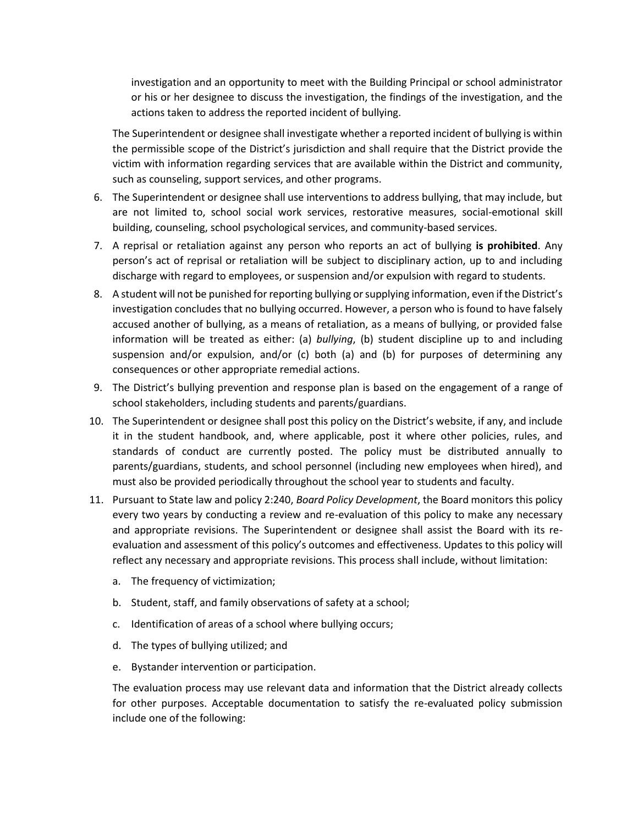investigation and an opportunity to meet with the Building Principal or school administrator or his or her designee to discuss the investigation, the findings of the investigation, and the actions taken to address the reported incident of bullying.

The Superintendent or designee shall investigate whether a reported incident of bullying is within the permissible scope of the District's jurisdiction and shall require that the District provide the victim with information regarding services that are available within the District and community, such as counseling, support services, and other programs.

- 6. The Superintendent or designee shall use interventions to address bullying, that may include, but are not limited to, school social work services, restorative measures, social-emotional skill building, counseling, school psychological services, and community-based services.
- 7. A reprisal or retaliation against any person who reports an act of bullying **is prohibited**. Any person's act of reprisal or retaliation will be subject to disciplinary action, up to and including discharge with regard to employees, or suspension and/or expulsion with regard to students.
- 8. A student will not be punished for reporting bullying or supplying information, even if the District's investigation concludes that no bullying occurred. However, a person who is found to have falsely accused another of bullying, as a means of retaliation, as a means of bullying, or provided false information will be treated as either: (a) *bullying*, (b) student discipline up to and including suspension and/or expulsion, and/or (c) both (a) and (b) for purposes of determining any consequences or other appropriate remedial actions.
- 9. The District's bullying prevention and response plan is based on the engagement of a range of school stakeholders, including students and parents/guardians.
- 10. The Superintendent or designee shall post this policy on the District's website, if any, and include it in the student handbook, and, where applicable, post it where other policies, rules, and standards of conduct are currently posted. The policy must be distributed annually to parents/guardians, students, and school personnel (including new employees when hired), and must also be provided periodically throughout the school year to students and faculty.
- 11. Pursuant to State law and policy 2:240, *Board Policy Development*, the Board monitors this policy every two years by conducting a review and re-evaluation of this policy to make any necessary and appropriate revisions. The Superintendent or designee shall assist the Board with its reevaluation and assessment of this policy's outcomes and effectiveness. Updates to this policy will reflect any necessary and appropriate revisions. This process shall include, without limitation:
	- a. The frequency of victimization;
	- b. Student, staff, and family observations of safety at a school;
	- c. Identification of areas of a school where bullying occurs;
	- d. The types of bullying utilized; and
	- e. Bystander intervention or participation.

The evaluation process may use relevant data and information that the District already collects for other purposes. Acceptable documentation to satisfy the re-evaluated policy submission include one of the following: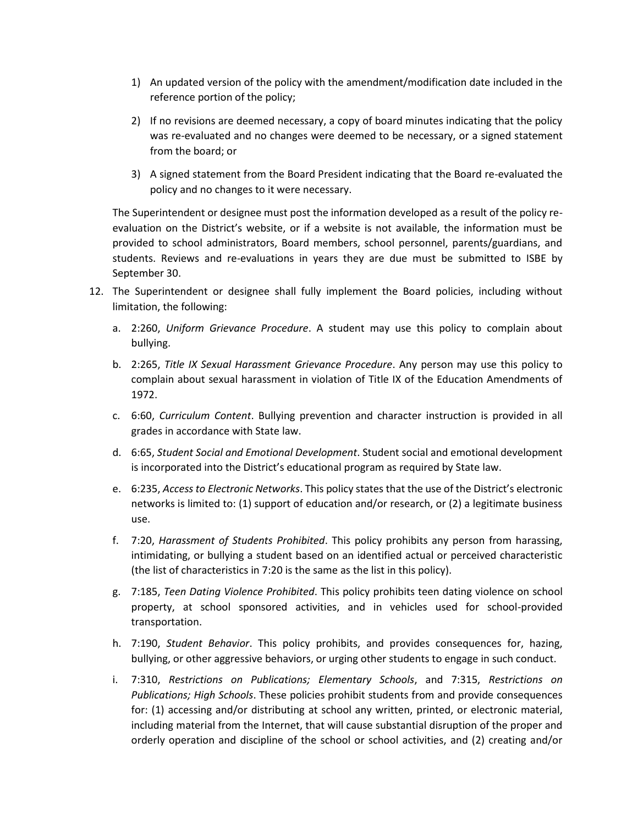- 1) An updated version of the policy with the amendment/modification date included in the reference portion of the policy;
- 2) If no revisions are deemed necessary, a copy of board minutes indicating that the policy was re-evaluated and no changes were deemed to be necessary, or a signed statement from the board; or
- 3) A signed statement from the Board President indicating that the Board re-evaluated the policy and no changes to it were necessary.

The Superintendent or designee must post the information developed as a result of the policy reevaluation on the District's website, or if a website is not available, the information must be provided to school administrators, Board members, school personnel, parents/guardians, and students. Reviews and re-evaluations in years they are due must be submitted to ISBE by September 30.

- 12. The Superintendent or designee shall fully implement the Board policies, including without limitation, the following:
	- a. 2:260, *Uniform Grievance Procedure*. A student may use this policy to complain about bullying.
	- b. 2:265, *Title IX Sexual Harassment Grievance Procedure*. Any person may use this policy to complain about sexual harassment in violation of Title IX of the Education Amendments of 1972.
	- c. 6:60, *Curriculum Content*. Bullying prevention and character instruction is provided in all grades in accordance with State law.
	- d. 6:65, *Student Social and Emotional Development*. Student social and emotional development is incorporated into the District's educational program as required by State law.
	- e. 6:235, *Access to Electronic Networks*. This policy states that the use of the District's electronic networks is limited to: (1) support of education and/or research, or (2) a legitimate business use.
	- f. 7:20, *Harassment of Students Prohibited*. This policy prohibits any person from harassing, intimidating, or bullying a student based on an identified actual or perceived characteristic (the list of characteristics in 7:20 is the same as the list in this policy).
	- g. 7:185, *Teen Dating Violence Prohibited*. This policy prohibits teen dating violence on school property, at school sponsored activities, and in vehicles used for school-provided transportation.
	- h. 7:190, *Student Behavior*. This policy prohibits, and provides consequences for, hazing, bullying, or other aggressive behaviors, or urging other students to engage in such conduct.
	- i. 7:310, *Restrictions on Publications; Elementary Schools*, and 7:315, *Restrictions on Publications; High Schools*. These policies prohibit students from and provide consequences for: (1) accessing and/or distributing at school any written, printed, or electronic material, including material from the Internet, that will cause substantial disruption of the proper and orderly operation and discipline of the school or school activities, and (2) creating and/or